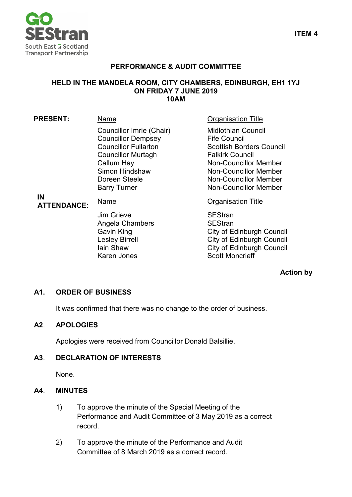

## **PERFORMANCE & AUDIT COMMITTEE**

#### **HELD IN THE MANDELA ROOM, CITY CHAMBERS, EDINBURGH, EH1 1YJ ON FRIDAY 7 JUNE 2019 10AM**

| <b>PRESENT:</b>          | Name                                                                                                                                                                                      | <b>Organisation Title</b>                                                                                                                                                                                                       |
|--------------------------|-------------------------------------------------------------------------------------------------------------------------------------------------------------------------------------------|---------------------------------------------------------------------------------------------------------------------------------------------------------------------------------------------------------------------------------|
| IN<br><b>ATTENDANCE:</b> | Councillor Imrie (Chair)<br><b>Councillor Dempsey</b><br><b>Councillor Fullarton</b><br><b>Councillor Murtagh</b><br>Callum Hay<br>Simon Hindshaw<br>Doreen Steele<br><b>Barry Turner</b> | <b>Midlothian Council</b><br><b>Fife Council</b><br><b>Scottish Borders Council</b><br><b>Falkirk Council</b><br><b>Non-Councillor Member</b><br>Non-Councillor Member<br>Non-Councillor Member<br><b>Non-Councillor Member</b> |
|                          | Name                                                                                                                                                                                      | <b>Organisation Title</b>                                                                                                                                                                                                       |
|                          | Jim Grieve<br>Angela Chambers<br>Gavin King<br><b>Lesley Birrell</b><br>lain Shaw<br>Karen Jones                                                                                          | <b>SEStran</b><br><b>SEStran</b><br><b>City of Edinburgh Council</b><br><b>City of Edinburgh Council</b><br><b>City of Edinburgh Council</b><br><b>Scott Moncrieff</b>                                                          |

#### **Action by**

# **A1. ORDER OF BUSINESS**

It was confirmed that there was no change to the order of business.

#### **A2**. **APOLOGIES**

Apologies were received from Councillor Donald Balsillie.

### **A3**. **DECLARATION OF INTERESTS**

None.

#### **A4**. **MINUTES**

- 1) To approve the minute of the Special Meeting of the Performance and Audit Committee of 3 May 2019 as a correct record.
- 2) To approve the minute of the Performance and Audit Committee of 8 March 2019 as a correct record.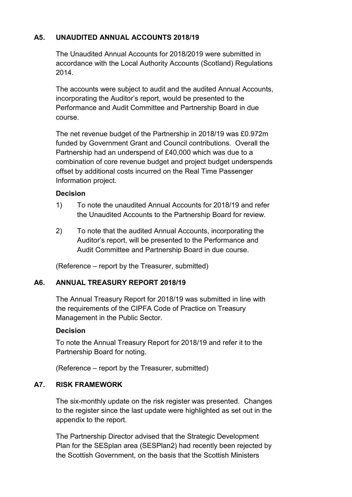# **A5. UNAUDITED ANNUAL ACCOUNTS 2018/19**

The Unaudited Annual Accounts for 2018/2019 were submitted in accordance with the Local Authority Accounts (Scotland) Regulations 2014.

The accounts were subject to audit and the audited Annual Accounts, incorporating the Auditor's report, would be presented to the Performance and Audit Committee and Partnership Board in due course.

The net revenue budget of the Partnership in 2018/19 was £0.972m funded by Government Grant and Council contributions. Overall the Partnership had an underspend of £40,000 which was due to a combination of core revenue budget and project budget underspends offset by additional costs incurred on the Real Time Passenger Information project.

### **Decision**

- 1) To note the unaudited Annual Accounts for 2018/19 and refer the Unaudited Accounts to the Partnership Board for review.
- 2) To note that the audited Annual Accounts, incorporating the Auditor's report, will be presented to the Performance and Audit Committee and Partnership Board in due course.

(Reference – report by the Treasurer, submitted)

# **A6. ANNUAL TREASURY REPORT 2018/19**

The Annual Treasury Report for 2018/19 was submitted in line with the requirements of the CIPFA Code of Practice on Treasury Management in the Public Sector.

# **Decision**

To note the Annual Treasury Report for 2018/19 and refer it to the Partnership Board for noting.

(Reference – report by the Treasurer, submitted)

# **A7. RISK FRAMEWORK**

The six-monthly update on the risk register was presented. Changes to the register since the last update were highlighted as set out in the appendix to the report.

The Partnership Director advised that the Strategic Development Plan for the SESplan area (SESPlan2) had recently been rejected by the Scottish Government, on the basis that the Scottish Ministers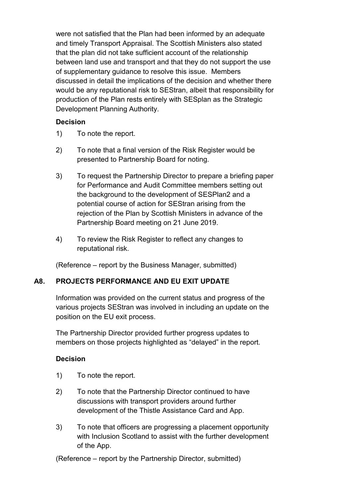were not satisfied that the Plan had been informed by an adequate and timely Transport Appraisal. The Scottish Ministers also stated that the plan did not take sufficient account of the relationship between land use and transport and that they do not support the use of supplementary guidance to resolve this issue. Members discussed in detail the implications of the decision and whether there would be any reputational risk to SEStran, albeit that responsibility for production of the Plan rests entirely with SESplan as the Strategic Development Planning Authority.

#### **Decision**

- 1) To note the report.
- 2) To note that a final version of the Risk Register would be presented to Partnership Board for noting.
- 3) To request the Partnership Director to prepare a briefing paper for Performance and Audit Committee members setting out the background to the development of SESPlan2 and a potential course of action for SEStran arising from the rejection of the Plan by Scottish Ministers in advance of the Partnership Board meeting on 21 June 2019.
- 4) To review the Risk Register to reflect any changes to reputational risk.

(Reference – report by the Business Manager, submitted)

# **A8. PROJECTS PERFORMANCE AND EU EXIT UPDATE**

Information was provided on the current status and progress of the various projects SEStran was involved in including an update on the position on the EU exit process.

The Partnership Director provided further progress updates to members on those projects highlighted as "delayed" in the report.

# **Decision**

- 1) To note the report.
- 2) To note that the Partnership Director continued to have discussions with transport providers around further development of the Thistle Assistance Card and App.
- 3) To note that officers are progressing a placement opportunity with Inclusion Scotland to assist with the further development of the App.

(Reference – report by the Partnership Director, submitted)